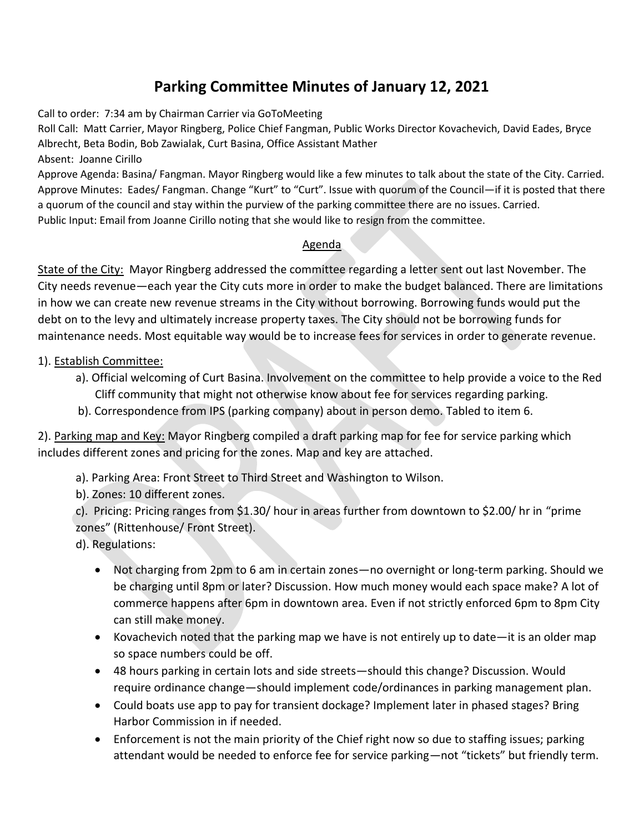## **Parking Committee Minutes of January 12, 2021**

Call to order: 7:34 am by Chairman Carrier via GoToMeeting

Roll Call: Matt Carrier, Mayor Ringberg, Police Chief Fangman, Public Works Director Kovachevich, David Eades, Bryce Albrecht, Beta Bodin, Bob Zawialak, Curt Basina, Office Assistant Mather

Absent: Joanne Cirillo

Approve Agenda: Basina/ Fangman. Mayor Ringberg would like a few minutes to talk about the state of the City. Carried. Approve Minutes: Eades/ Fangman. Change "Kurt" to "Curt". Issue with quorum of the Council—if it is posted that there a quorum of the council and stay within the purview of the parking committee there are no issues. Carried. Public Input: Email from Joanne Cirillo noting that she would like to resign from the committee.

## Agenda

State of the City: Mayor Ringberg addressed the committee regarding a letter sent out last November. The City needs revenue—each year the City cuts more in order to make the budget balanced. There are limitations in how we can create new revenue streams in the City without borrowing. Borrowing funds would put the debt on to the levy and ultimately increase property taxes. The City should not be borrowing funds for maintenance needs. Most equitable way would be to increase fees for services in order to generate revenue.

## 1). Establish Committee:

- a). Official welcoming of Curt Basina. Involvement on the committee to help provide a voice to the Red Cliff community that might not otherwise know about fee for services regarding parking.
- b). Correspondence from IPS (parking company) about in person demo. Tabled to item 6.

2). Parking map and Key: Mayor Ringberg compiled a draft parking map for fee for service parking which includes different zones and pricing for the zones. Map and key are attached.

a). Parking Area: Front Street to Third Street and Washington to Wilson.

b). Zones: 10 different zones.

c). Pricing: Pricing ranges from \$1.30/ hour in areas further from downtown to \$2.00/ hr in "prime zones" (Rittenhouse/ Front Street).

d). Regulations:

- Not charging from 2pm to 6 am in certain zones—no overnight or long-term parking. Should we be charging until 8pm or later? Discussion. How much money would each space make? A lot of commerce happens after 6pm in downtown area. Even if not strictly enforced 6pm to 8pm City can still make money.
- Kovachevich noted that the parking map we have is not entirely up to date—it is an older map so space numbers could be off.
- 48 hours parking in certain lots and side streets—should this change? Discussion. Would require ordinance change—should implement code/ordinances in parking management plan.
- Could boats use app to pay for transient dockage? Implement later in phased stages? Bring Harbor Commission in if needed.
- Enforcement is not the main priority of the Chief right now so due to staffing issues; parking attendant would be needed to enforce fee for service parking—not "tickets" but friendly term.